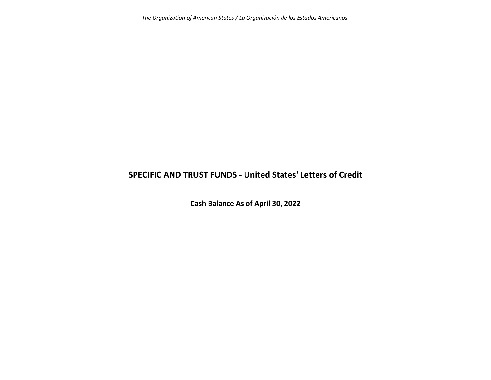*The Organization of American States / La Organización de los Estados Americanos*

## **SPECIFIC AND TRUST FUNDS ‐ United States' Letters of Credit**

**Cash Balance As of April 30, 2022**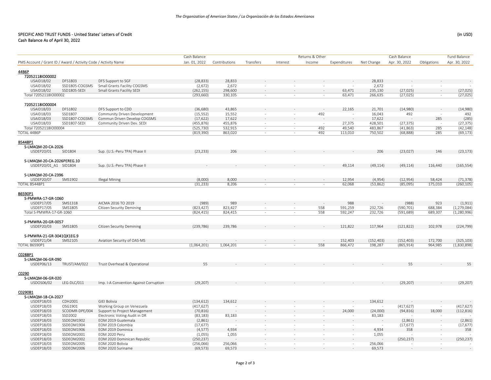## SPECIFIC AND TRUST FUNDS ‐ United States' Letters of CreditCash Balance As of April 30, 2022

|                                                                |                |                                        | Cash Balance             |                    |                          |                          | Returns & Other          |                    |                    | Cash Balance             |                    | <b>Fund Balance</b>            |
|----------------------------------------------------------------|----------------|----------------------------------------|--------------------------|--------------------|--------------------------|--------------------------|--------------------------|--------------------|--------------------|--------------------------|--------------------|--------------------------------|
| PMS Account / Grant ID / Award / Activity Code / Activity Name |                |                                        | Jan. 01, 2022            | Contributions      | Transfers                | Interest                 | Income                   | Expenditures       | Net Change         | Apr. 30, 2022            | Obligations        | Apr. 30, 2022                  |
|                                                                |                |                                        |                          |                    |                          |                          |                          |                    |                    |                          |                    |                                |
| 44B6P<br>72052118IO00002                                       |                |                                        |                          |                    |                          |                          |                          |                    |                    |                          |                    |                                |
| USAID18/02                                                     | DFS1803        | DFS Support to SGF                     | (28, 833)                | 28,833             |                          |                          |                          |                    | 28,833             |                          |                    |                                |
| USAID18/02                                                     | SSD1805-COGSMS | Small Grants Facility COGSMS           | (2,672)                  | 2,672              |                          |                          | $\sim$                   |                    | 2,672              |                          |                    |                                |
| USAID18/02                                                     | SSD1805-SEDI   | Small Grants Facility SEDI             | (262, 155)               | 298,600            | $\sim$                   | $\sim$                   | $\sim$                   | 63,471             | 235,130            | (27, 025)                | $\sim$             | (27, 025)                      |
| Total 72052118IO00002                                          |                |                                        | (293, 660)               | 330,105            |                          |                          | $\sim$                   | 63,471             | 266,635            | (27, 025)                |                    | (27, 025)                      |
|                                                                |                |                                        |                          |                    |                          |                          |                          |                    |                    |                          |                    |                                |
| 72052118lO00004                                                |                |                                        |                          |                    |                          |                          |                          |                    |                    |                          |                    |                                |
| USAID18/03                                                     | DFS1802        | DFS Support to CDD                     | (36,680)                 | 43,865             |                          |                          |                          | 22,165             | 21,701             | (14,980)                 |                    | (14,980)                       |
| USAID18/03                                                     | SSD1807        | Community Driven Development           | (15, 552)                | 15,552             | $\sim$                   | $\overline{\phantom{a}}$ | 492                      | $\sim$             | 16,043             | 492                      |                    | 492                            |
| USAID18/03                                                     | SSD1807-COGSMS | Commun Driven Develop COGSMS           | (17, 622)                | 17,622             |                          |                          |                          |                    | 17,622             |                          | 285                | (285)                          |
| USAID18/03                                                     | SSD1807-SEDI   | Community Driven Dev. SEDI             | (455, 876)               | 455,876            | $\sim$                   | $\overline{\phantom{a}}$ |                          | 27,375             | 428,501            | (27, 375)                |                    | (27, 375)                      |
| Total 72052118IO00004                                          |                |                                        | (525, 730)               | 532,915            | $\sim$                   | $\sim$                   | 492                      | 49,540             | 483,867            | (41,863)                 | 285                | (42, 148)                      |
| <b>TOTAL 44B6P</b>                                             |                |                                        | (819, 390)               | 863,020            | $\sim$                   | ×                        | 492                      | 113,010            | 750,502            | (68, 888)                | 285                | (69, 173)                      |
| B5448P1                                                        |                |                                        |                          |                    |                          |                          |                          |                    |                    |                          |                    |                                |
| S-LMAQM-20-CA-2026                                             |                |                                        |                          |                    |                          |                          |                          |                    |                    |                          |                    |                                |
| USDEP20/01                                                     | SID1804        | Sup. (U.S.-Peru TPA) Phase II          | (23, 233)                | 206                |                          |                          |                          |                    | 206                | (23, 027)                | 146                | (23, 173)                      |
|                                                                |                |                                        |                          |                    |                          |                          |                          |                    |                    |                          |                    |                                |
| S-LMAQM-20-CA-2026PEREG.10                                     |                |                                        |                          |                    |                          |                          |                          |                    |                    |                          |                    |                                |
| USDEP20/01 A1 SID1804                                          |                | Sup. (U.S.-Peru TPA) Phase II          |                          |                    |                          |                          |                          | 49,114             | (49, 114)          | (49, 114)                | 116,440            | (165, 554)                     |
| S-LMAQM-20-CA-2396                                             |                |                                        |                          |                    |                          |                          |                          |                    |                    |                          |                    |                                |
| USDEP20/07                                                     | SMS1902        | <b>Illegal Mining</b>                  | (8,000)                  | 8,000              |                          |                          |                          | 12,954             | (4,954)            | (12, 954)                | 58,424             | (71, 378)                      |
| <b>TOTAL B5448P1</b>                                           |                |                                        | (31, 233)                | 8,206              | $\sim$                   | ÷                        | ×                        | 62,068             | (53,862)           | (85,095)                 | 175,010            | (260, 105)                     |
| B6590P1                                                        |                |                                        |                          |                    |                          |                          |                          |                    |                    |                          |                    |                                |
| S-PMWRA-17-GR-1060                                             |                |                                        |                          |                    |                          |                          |                          |                    |                    |                          |                    |                                |
| USDEP17/05                                                     | SMS1318        | AICMA 2016 TO 2019                     | (989)                    | 989                |                          |                          |                          | 988                |                    | (988)                    | 923                | (1, 911)                       |
| USDEP17/05<br>Total S-PMWRA-17-GR-1060                         | SMS1805        | <b>Citizen Security Demining</b>       | (823, 427)<br>(824, 415) | 823,427<br>824,415 | $\sim$<br>$\sim$         | ٠<br>÷.                  | 558<br>558               | 591,259<br>592,247 | 232,726<br>232,726 | (590, 701)<br>(591, 689) | 688,384<br>689,307 | (1, 279, 084)<br>(1, 280, 996) |
|                                                                |                |                                        |                          |                    |                          |                          |                          |                    |                    |                          |                    |                                |
| S-PMWRA-20-GR-0057                                             |                |                                        |                          |                    |                          |                          |                          |                    |                    |                          |                    |                                |
| USDEP20/03                                                     | SMS1805        | <b>Citizen Security Demining</b>       | (239, 786)               | 239,786            |                          |                          |                          | 121,822            | 117,964            | (121, 822)               | 102,978            | (224, 799)                     |
| S-PMWRA-21-GR-3041QX1EG.9                                      |                |                                        |                          |                    |                          |                          |                          |                    |                    |                          |                    |                                |
| USDEP21/04                                                     | SMS2105        | Aviation Security of OAS-MS            |                          |                    |                          |                          |                          | 152,403            | (152, 403)         | (152, 403)               | 172,700            | (325, 103)                     |
| <b>TOTAL B6590P1</b>                                           |                |                                        | (1,064,201)              | 1,064,201          | $\sim$                   | $\sim$                   | 558                      | 866,472            | 198,287            | (865, 914)               | 964,985            | (1,830,898)                    |
| C0288P1<br>S-LMAQM-06-GR-090                                   |                |                                        |                          |                    |                          |                          |                          |                    |                    |                          |                    |                                |
| USDEP06/13                                                     | TRUST/AM/022   | Trust Overhead & Operational           | 55                       |                    |                          |                          |                          |                    |                    | 55                       |                    | 55                             |
|                                                                |                |                                        |                          |                    |                          |                          |                          |                    |                    |                          |                    |                                |
| C0290                                                          |                |                                        |                          |                    |                          |                          |                          |                    |                    |                          |                    |                                |
| S-LMAQM-06-GR-020                                              |                |                                        | (29, 207)                |                    |                          |                          |                          |                    |                    | (29, 207)                |                    | (29, 207)                      |
| USDOS06/02                                                     | LEG-DLC/011    | Imp. I-A Convention Against Corruption |                          |                    |                          |                          |                          |                    |                    |                          |                    |                                |
| C0290B1<br>S-LMAQM-18-CA-2027                                  |                |                                        |                          |                    |                          |                          |                          |                    |                    |                          |                    |                                |
| USDEP18/03                                                     | CDH2001        | <b>GIEI Bolivia</b>                    | (134, 612)               | 134,612            |                          |                          |                          |                    | 134,612            |                          |                    |                                |
| USDEP18/03                                                     | OSG1901        | Working Group on Venezuela             | (417, 627)               |                    |                          |                          | $\sim$                   |                    |                    | (417, 627)               |                    | (417, 627)                     |
| USDEP18/03                                                     | SCODMR-DPE/004 | Support to Project Management          | (70, 816)                |                    |                          |                          |                          | 24,000             | (24,000)           | (94, 816)                | 18,000             | (112, 816)                     |
| USDEP18/03                                                     | SSD2002        | Electronic Voting Audit in DR          | (83, 183)                | 83,183             | $\sim$                   | $\sim$                   | $\sim$                   |                    | 83,183             |                          |                    |                                |
| USDEP18/03                                                     | SSDEOM1902     | EOM 2019 Guatemala                     | (2,861)                  |                    |                          |                          |                          |                    |                    | (2,861)                  |                    | (2,861)                        |
| USDEP18/03                                                     | SSDEOM1904     | EOM 2019 Colombia                      | (17, 677)                |                    | $\overline{\phantom{a}}$ | $\overline{\phantom{a}}$ | $\sim$                   | $\sim$             |                    | (17, 677)                | $\sim$             | (17, 677)                      |
| USDEP18/03                                                     | SSDEOM1906     | EOM 2019 Dominica                      | (4, 577)                 | 4,934              |                          |                          |                          |                    | 4,934              | 358                      |                    | 358                            |
| USDEP18/03                                                     | SSDEOM2001     | EOM 2020 Peru                          | (1,055)                  | 1,055              |                          | $\overline{\phantom{a}}$ | $\overline{\phantom{a}}$ |                    | 1,055              |                          |                    |                                |
| USDEP18/03                                                     | SSDEOM2002     | EOM 2020 Dominican Republic            | (250, 237)               |                    |                          |                          |                          |                    |                    | (250, 237)               |                    | (250, 237)                     |
| USDEP18/03                                                     | SSDEOM2005     | EOM 2020 Bolivia                       | (256,066)                | 256,066            | $\sim$                   | $\sim$                   | $\sim$                   |                    | 256,066            |                          |                    |                                |
| USDEP18/03                                                     | SSDEOM2006     | EOM 2020 Suriname                      | (69, 573)                | 69,573             |                          |                          |                          |                    | 69,573             |                          |                    |                                |